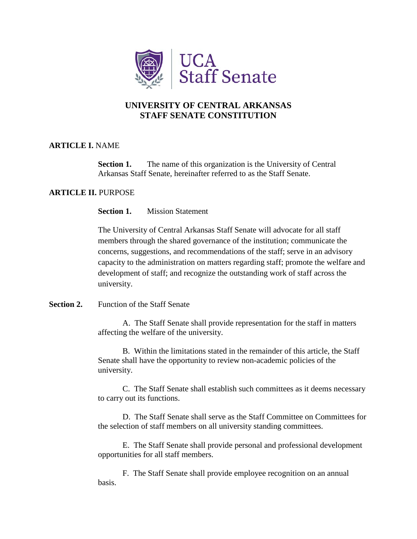

# **UNIVERSITY OF CENTRAL ARKANSAS STAFF SENATE CONSTITUTION**

## **ARTICLE I.** NAME

**Section 1.** The name of this organization is the University of Central Arkansas Staff Senate, hereinafter referred to as the Staff Senate.

# **ARTICLE II.** PURPOSE

**Section 1.** Mission Statement

The University of Central Arkansas Staff Senate will advocate for all staff members through the shared governance of the institution; communicate the concerns, suggestions, and recommendations of the staff; serve in an advisory capacity to the administration on matters regarding staff; promote the welfare and development of staff; and recognize the outstanding work of staff across the university.

## **Section 2.** Function of the Staff Senate

A.The Staff Senate shall provide representation for the staff in matters affecting the welfare of the university.

B.Within the limitations stated in the remainder of this article, the Staff Senate shall have the opportunity to review non-academic policies of the university.

C. The Staff Senate shall establish such committees as it deems necessary to carry out its functions.

D. The Staff Senate shall serve as the Staff Committee on Committees for the selection of staff members on all university standing committees.

E. The Staff Senate shall provide personal and professional development opportunities for all staff members.

F. The Staff Senate shall provide employee recognition on an annual basis.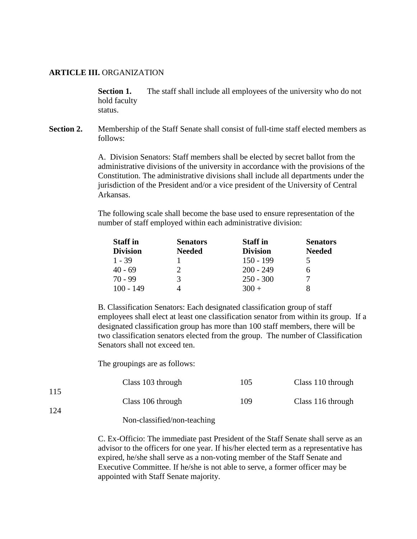#### **ARTICLE III.** ORGANIZATION

**Section 1.** The staff shall include all employees of the university who do not hold faculty status.

**Section 2.** Membership of the Staff Senate shall consist of full-time staff elected members as follows:

> A. Division Senators: Staff members shall be elected by secret ballot from the administrative divisions of the university in accordance with the provisions of the Constitution. The administrative divisions shall include all departments under the jurisdiction of the President and/or a vice president of the University of Central Arkansas.

The following scale shall become the base used to ensure representation of the number of staff employed within each administrative division:

| <b>Staff</b> in | <b>Senators</b> | <b>Staff</b> in | <b>Senators</b> |
|-----------------|-----------------|-----------------|-----------------|
| <b>Division</b> | <b>Needed</b>   | <b>Division</b> | <b>Needed</b>   |
| $1 - 39$        |                 | $150 - 199$     |                 |
| $40 - 69$       |                 | $200 - 249$     |                 |
| $70 - 99$       | 3               | $250 - 300$     |                 |
| $100 - 149$     |                 | $300 +$         |                 |

B. Classification Senators: Each designated classification group of staff employees shall elect at least one classification senator from within its group. If a designated classification group has more than 100 staff members, there will be two classification senators elected from the group. The number of Classification Senators shall not exceed ten.

The groupings are as follows:

|     | Class 103 through | 105 | Class 110 through |
|-----|-------------------|-----|-------------------|
| 115 | Class 106 through | 109 | Class 116 through |
| 124 |                   |     |                   |

#### Non-classified/non-teaching

C. Ex-Officio: The immediate past President of the Staff Senate shall serve as an advisor to the officers for one year. If his/her elected term as a representative has expired, he/she shall serve as a non-voting member of the Staff Senate and Executive Committee. If he/she is not able to serve, a former officer may be appointed with Staff Senate majority.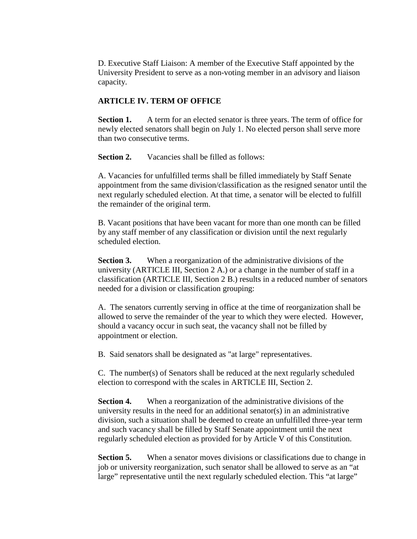D. Executive Staff Liaison: A member of the Executive Staff appointed by the University President to serve as a non-voting member in an advisory and liaison capacity.

# **ARTICLE IV. TERM OF OFFICE**

**Section 1.** A term for an elected senator is three years. The term of office for newly elected senators shall begin on July 1. No elected person shall serve more than two consecutive terms.

**Section 2.** Vacancies shall be filled as follows:

A. Vacancies for unfulfilled terms shall be filled immediately by Staff Senate appointment from the same division/classification as the resigned senator until the next regularly scheduled election. At that time, a senator will be elected to fulfill the remainder of the original term.

B. Vacant positions that have been vacant for more than one month can be filled by any staff member of any classification or division until the next regularly scheduled election.

**Section 3.** When a reorganization of the administrative divisions of the university (ARTICLE III, Section 2 A.) or a change in the number of staff in a classification (ARTICLE III, Section 2 B.) results in a reduced number of senators needed for a division or classification grouping:

A. The senators currently serving in office at the time of reorganization shall be allowed to serve the remainder of the year to which they were elected. However, should a vacancy occur in such seat, the vacancy shall not be filled by appointment or election.

B. Said senators shall be designated as "at large" representatives.

C. The number(s) of Senators shall be reduced at the next regularly scheduled election to correspond with the scales in ARTICLE III, Section 2.

**Section 4.** When a reorganization of the administrative divisions of the university results in the need for an additional senator(s) in an administrative division, such a situation shall be deemed to create an unfulfilled three-year term and such vacancy shall be filled by Staff Senate appointment until the next regularly scheduled election as provided for by Article V of this Constitution.

**Section 5.** When a senator moves divisions or classifications due to change in job or university reorganization, such senator shall be allowed to serve as an "at large" representative until the next regularly scheduled election. This "at large"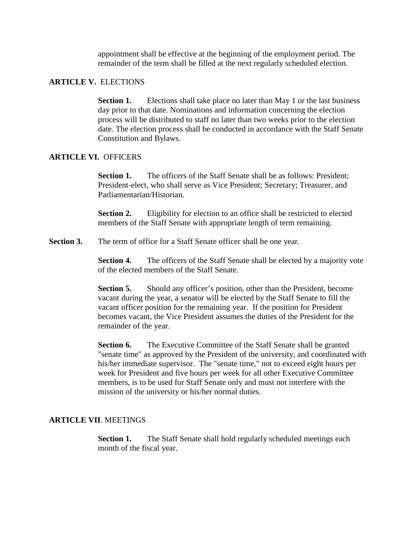appointment shall be effective at the beginning of the employment period. The remainder of the term shall be filled at the next regularly scheduled election.

#### **ARTICLE V.** ELECTIONS

**Section 1.** Elections shall take place no later than May 1 or the last business day prior to that date. Nominations and information concerning the election process will be distributed to staff no later than two weeks prior to the election date. The election process shall be conducted in accordance with the Staff Senate Constitution and Bylaws.

### **ARTICLE VI.** OFFICERS

**Section 1.** The officers of the Staff Senate shall be as follows: President: President-elect, who shall serve as Vice President; Secretary; Treasurer, and Parliamentarian/Historian.

**Section 2.** Eligibility for election to an office shall be restricted to elected members of the Staff Senate with appropriate length of term remaining.

**Section 3.** The term of office for a Staff Senate officer shall be one year.

**Section 4.** The officers of the Staff Senate shall be elected by a majority vote of the elected members of the Staff Senate.

**Section 5.** Should any officer's position, other than the President, become vacant during the year, a senator will be elected by the Staff Senate to fill the vacant officer position for the remaining year. If the position for President becomes vacant, the Vice President assumes the duties of the President for the remainder of the year.

**Section 6.** The Executive Committee of the Staff Senate shall be granted "senate time" as approved by the President of the university, and coordinated with his/her immediate supervisor. The "senate time," not to exceed eight hours per week for President and five hours per week for all other Executive Committee members, is to be used for Staff Senate only and must not interfere with the mission of the university or his/her normal duties.

### **ARTICLE VII**. MEETINGS

**Section 1.** The Staff Senate shall hold regularly scheduled meetings each month of the fiscal year.